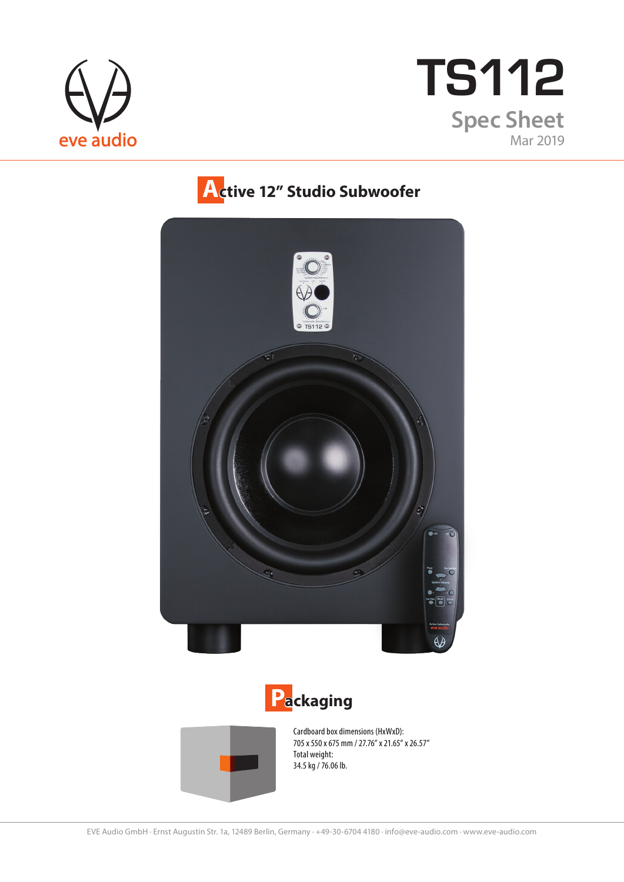



## **Active 12" Studio Subwoofer**







Cardboard box dimensions (HxWxD): 705 x 550 x 675 mm / 27.76" x 21.65" x 26.57" Total weight: 34.5 kg / 76.06 lb.